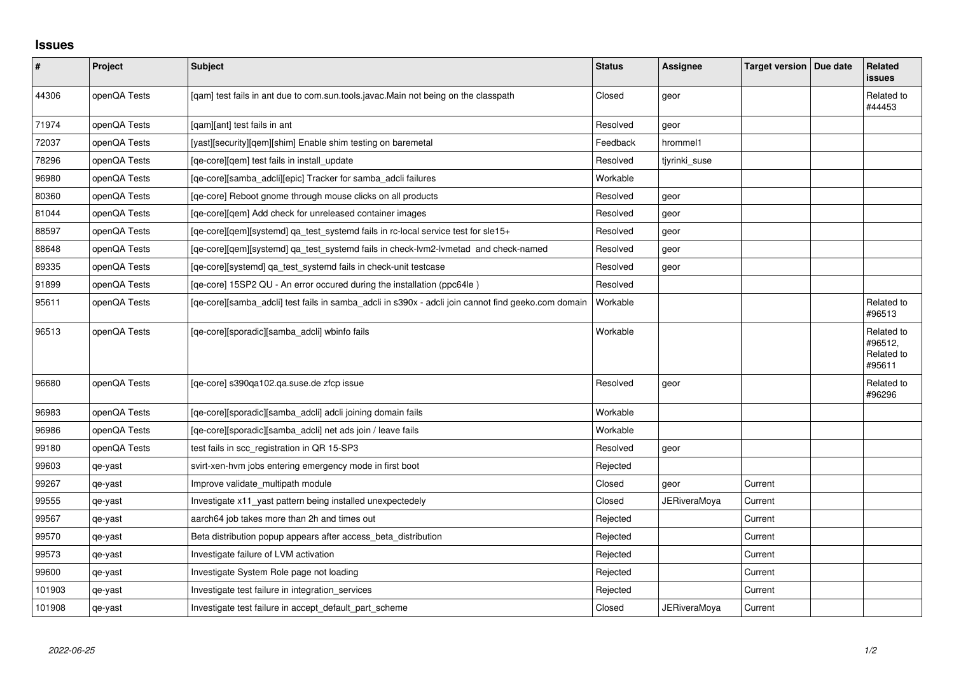## **Issues**

| $\pmb{\sharp}$ | Project      | Subject                                                                                             | <b>Status</b> | Assignee            | Target version   Due date | <b>Related</b><br><b>issues</b>               |
|----------------|--------------|-----------------------------------------------------------------------------------------------------|---------------|---------------------|---------------------------|-----------------------------------------------|
| 44306          | openQA Tests | [qam] test fails in ant due to com.sun.tools.javac.Main not being on the classpath                  | Closed        | geor                |                           | Related to<br>#44453                          |
| 71974          | openQA Tests | [gam][ant] test fails in ant                                                                        | Resolved      | geor                |                           |                                               |
| 72037          | openQA Tests | [yast][security][gem][shim] Enable shim testing on baremetal                                        | Feedback      | hrommel1            |                           |                                               |
| 78296          | openQA Tests | [ge-core][gem] test fails in install update                                                         | Resolved      | tiyrinki suse       |                           |                                               |
| 96980          | openQA Tests | [ge-core][samba adcli][epic] Tracker for samba adcli failures                                       | Workable      |                     |                           |                                               |
| 80360          | openQA Tests | [qe-core] Reboot gnome through mouse clicks on all products                                         | Resolved      | geor                |                           |                                               |
| 81044          | openQA Tests | [ge-core][gem] Add check for unreleased container images                                            | Resolved      | geor                |                           |                                               |
| 88597          | openQA Tests | [qe-core][qem][systemd] qa_test_systemd fails in rc-local service test for sle15+                   | Resolved      | geor                |                           |                                               |
| 88648          | openQA Tests | [qe-core][qem][systemd] qa_test_systemd fails in check-lvm2-lvmetad and check-named                 | Resolved      | geor                |                           |                                               |
| 89335          | openQA Tests | [qe-core][systemd] qa_test_systemd fails in check-unit testcase                                     | Resolved      | geor                |                           |                                               |
| 91899          | openQA Tests | [qe-core] 15SP2 QU - An error occured during the installation (ppc64le)                             | Resolved      |                     |                           |                                               |
| 95611          | openQA Tests | [qe-core][samba_adcli] test fails in samba_adcli in s390x - adcli join cannot find geeko.com domain | Workable      |                     |                           | Related to<br>#96513                          |
| 96513          | openQA Tests | [qe-core][sporadic][samba_adcli] wbinfo fails                                                       | Workable      |                     |                           | Related to<br>#96512,<br>Related to<br>#95611 |
| 96680          | openQA Tests | [ge-core] s390ga102.ga.suse.de zfcp issue                                                           | Resolved      | geor                |                           | Related to<br>#96296                          |
| 96983          | openQA Tests | [qe-core][sporadic][samba_adcli] adcli joining domain fails                                         | Workable      |                     |                           |                                               |
| 96986          | openQA Tests | [qe-core][sporadic][samba_adcli] net ads join / leave fails                                         | Workable      |                     |                           |                                               |
| 99180          | openQA Tests | test fails in scc_registration in QR 15-SP3                                                         | Resolved      | geor                |                           |                                               |
| 99603          | qe-yast      | svirt-xen-hvm jobs entering emergency mode in first boot                                            | Rejected      |                     |                           |                                               |
| 99267          | qe-yast      | Improve validate_multipath module                                                                   | Closed        | geor                | Current                   |                                               |
| 99555          | qe-yast      | Investigate x11 yast pattern being installed unexpectedely                                          | Closed        | <b>JERiveraMoya</b> | Current                   |                                               |
| 99567          | qe-yast      | aarch64 job takes more than 2h and times out                                                        | Rejected      |                     | Current                   |                                               |
| 99570          | qe-yast      | Beta distribution popup appears after access_beta_distribution                                      | Rejected      |                     | Current                   |                                               |
| 99573          | qe-yast      | Investigate failure of LVM activation                                                               | Rejected      |                     | Current                   |                                               |
| 99600          | qe-yast      | Investigate System Role page not loading                                                            | Rejected      |                     | Current                   |                                               |
| 101903         | qe-yast      | Investigate test failure in integration_services                                                    | Rejected      |                     | Current                   |                                               |
| 101908         | qe-yast      | Investigate test failure in accept default part scheme                                              | Closed        | <b>JERiveraMoya</b> | Current                   |                                               |